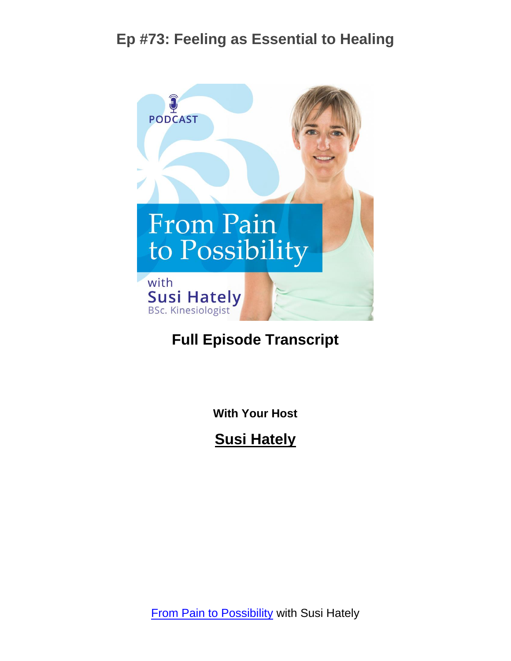

#### **Full Episode Transcript**

**With Your Host**

**Susi Hately**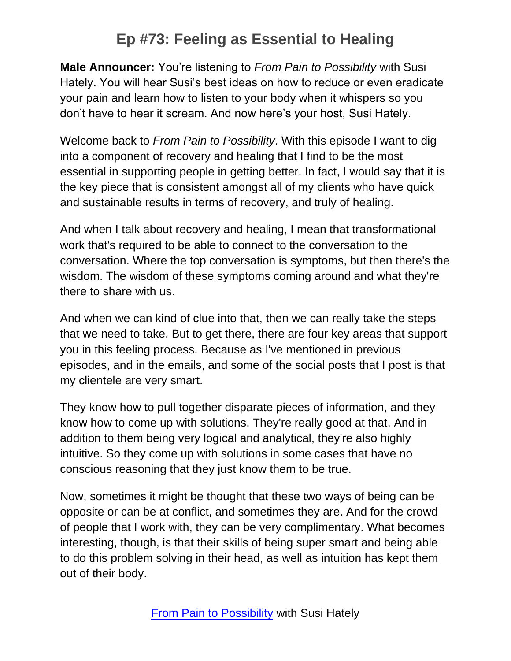**Male Announcer:** You're listening to *From Pain to Possibility* with Susi Hately. You will hear Susi's best ideas on how to reduce or even eradicate your pain and learn how to listen to your body when it whispers so you don't have to hear it scream. And now here's your host, Susi Hately.

Welcome back to *From Pain to Possibility*. With this episode I want to dig into a component of recovery and healing that I find to be the most essential in supporting people in getting better. In fact, I would say that it is the key piece that is consistent amongst all of my clients who have quick and sustainable results in terms of recovery, and truly of healing.

And when I talk about recovery and healing, I mean that transformational work that's required to be able to connect to the conversation to the conversation. Where the top conversation is symptoms, but then there's the wisdom. The wisdom of these symptoms coming around and what they're there to share with us.

And when we can kind of clue into that, then we can really take the steps that we need to take. But to get there, there are four key areas that support you in this feeling process. Because as I've mentioned in previous episodes, and in the emails, and some of the social posts that I post is that my clientele are very smart.

They know how to pull together disparate pieces of information, and they know how to come up with solutions. They're really good at that. And in addition to them being very logical and analytical, they're also highly intuitive. So they come up with solutions in some cases that have no conscious reasoning that they just know them to be true.

Now, sometimes it might be thought that these two ways of being can be opposite or can be at conflict, and sometimes they are. And for the crowd of people that I work with, they can be very complimentary. What becomes interesting, though, is that their skills of being super smart and being able to do this problem solving in their head, as well as intuition has kept them out of their body.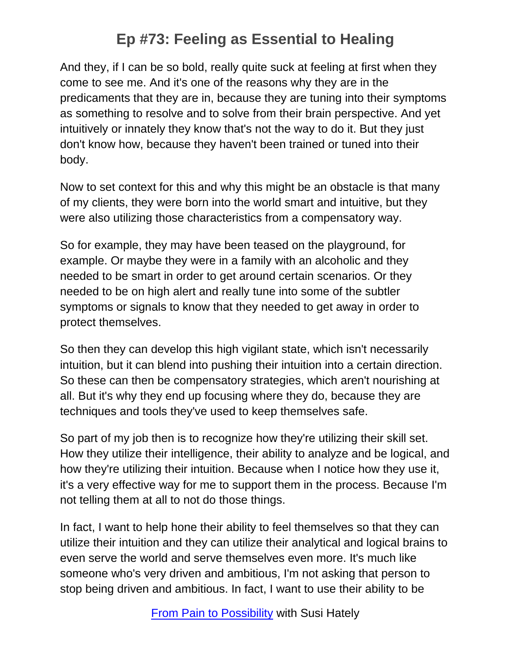And they, if I can be so bold, really quite suck at feeling at first when they come to see me. And it's one of the reasons why they are in the predicaments that they are in, because they are tuning into their symptoms as something to resolve and to solve from their brain perspective. And yet intuitively or innately they know that's not the way to do it. But they just don't know how, because they haven't been trained or tuned into their body.

Now to set context for this and why this might be an obstacle is that many of my clients, they were born into the world smart and intuitive, but they were also utilizing those characteristics from a compensatory way.

So for example, they may have been teased on the playground, for example. Or maybe they were in a family with an alcoholic and they needed to be smart in order to get around certain scenarios. Or they needed to be on high alert and really tune into some of the subtler symptoms or signals to know that they needed to get away in order to protect themselves.

So then they can develop this high vigilant state, which isn't necessarily intuition, but it can blend into pushing their intuition into a certain direction. So these can then be compensatory strategies, which aren't nourishing at all. But it's why they end up focusing where they do, because they are techniques and tools they've used to keep themselves safe.

So part of my job then is to recognize how they're utilizing their skill set. How they utilize their intelligence, their ability to analyze and be logical, and how they're utilizing their intuition. Because when I notice how they use it, it's a very effective way for me to support them in the process. Because I'm not telling them at all to not do those things.

In fact, I want to help hone their ability to feel themselves so that they can utilize their intuition and they can utilize their analytical and logical brains to even serve the world and serve themselves even more. It's much like someone who's very driven and ambitious, I'm not asking that person to stop being driven and ambitious. In fact, I want to use their ability to be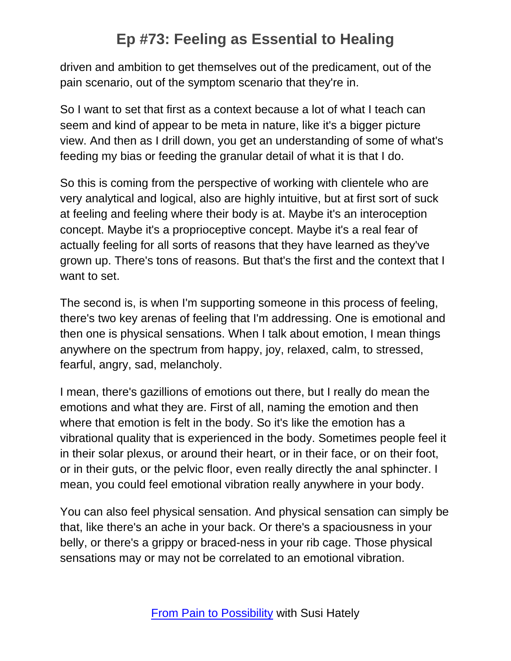driven and ambition to get themselves out of the predicament, out of the pain scenario, out of the symptom scenario that they're in.

So I want to set that first as a context because a lot of what I teach can seem and kind of appear to be meta in nature, like it's a bigger picture view. And then as I drill down, you get an understanding of some of what's feeding my bias or feeding the granular detail of what it is that I do.

So this is coming from the perspective of working with clientele who are very analytical and logical, also are highly intuitive, but at first sort of suck at feeling and feeling where their body is at. Maybe it's an interoception concept. Maybe it's a proprioceptive concept. Maybe it's a real fear of actually feeling for all sorts of reasons that they have learned as they've grown up. There's tons of reasons. But that's the first and the context that I want to set.

The second is, is when I'm supporting someone in this process of feeling, there's two key arenas of feeling that I'm addressing. One is emotional and then one is physical sensations. When I talk about emotion, I mean things anywhere on the spectrum from happy, joy, relaxed, calm, to stressed, fearful, angry, sad, melancholy.

I mean, there's gazillions of emotions out there, but I really do mean the emotions and what they are. First of all, naming the emotion and then where that emotion is felt in the body. So it's like the emotion has a vibrational quality that is experienced in the body. Sometimes people feel it in their solar plexus, or around their heart, or in their face, or on their foot, or in their guts, or the pelvic floor, even really directly the anal sphincter. I mean, you could feel emotional vibration really anywhere in your body.

You can also feel physical sensation. And physical sensation can simply be that, like there's an ache in your back. Or there's a spaciousness in your belly, or there's a grippy or braced-ness in your rib cage. Those physical sensations may or may not be correlated to an emotional vibration.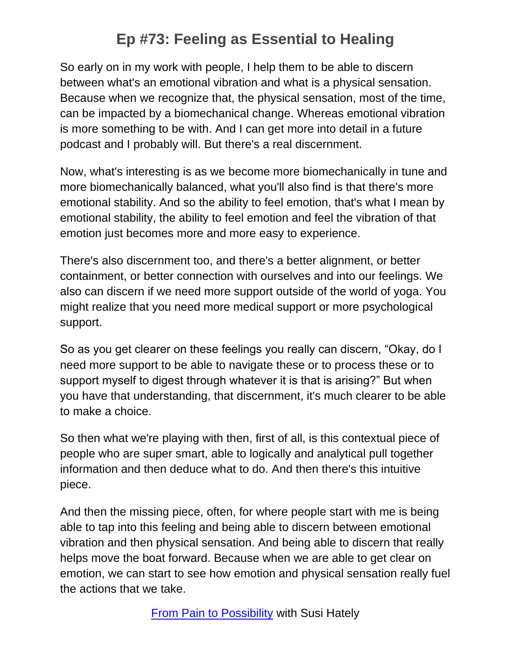So early on in my work with people, I help them to be able to discern between what's an emotional vibration and what is a physical sensation. Because when we recognize that, the physical sensation, most of the time, can be impacted by a biomechanical change. Whereas emotional vibration is more something to be with. And I can get more into detail in a future podcast and I probably will. But there's a real discernment.

Now, what's interesting is as we become more biomechanically in tune and more biomechanically balanced, what you'll also find is that there's more emotional stability. And so the ability to feel emotion, that's what I mean by emotional stability, the ability to feel emotion and feel the vibration of that emotion just becomes more and more easy to experience.

There's also discernment too, and there's a better alignment, or better containment, or better connection with ourselves and into our feelings. We also can discern if we need more support outside of the world of yoga. You might realize that you need more medical support or more psychological support.

So as you get clearer on these feelings you really can discern, "Okay, do I need more support to be able to navigate these or to process these or to support myself to digest through whatever it is that is arising?" But when you have that understanding, that discernment, it's much clearer to be able to make a choice.

So then what we're playing with then, first of all, is this contextual piece of people who are super smart, able to logically and analytical pull together information and then deduce what to do. And then there's this intuitive piece.

And then the missing piece, often, for where people start with me is being able to tap into this feeling and being able to discern between emotional vibration and then physical sensation. And being able to discern that really helps move the boat forward. Because when we are able to get clear on emotion, we can start to see how emotion and physical sensation really fuel the actions that we take.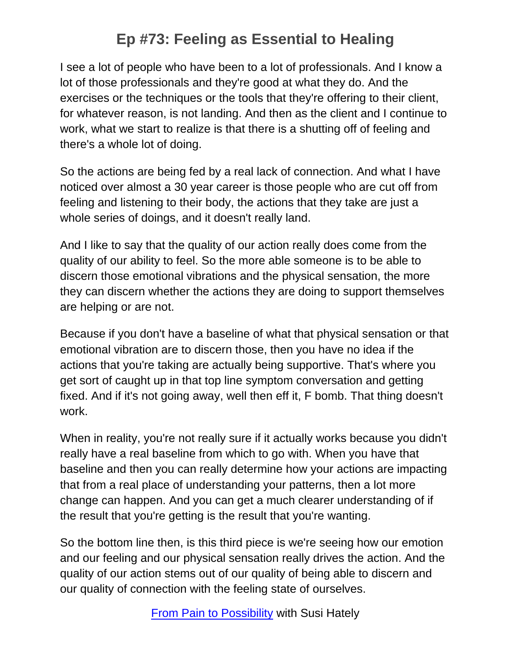I see a lot of people who have been to a lot of professionals. And I know a lot of those professionals and they're good at what they do. And the exercises or the techniques or the tools that they're offering to their client, for whatever reason, is not landing. And then as the client and I continue to work, what we start to realize is that there is a shutting off of feeling and there's a whole lot of doing.

So the actions are being fed by a real lack of connection. And what I have noticed over almost a 30 year career is those people who are cut off from feeling and listening to their body, the actions that they take are just a whole series of doings, and it doesn't really land.

And I like to say that the quality of our action really does come from the quality of our ability to feel. So the more able someone is to be able to discern those emotional vibrations and the physical sensation, the more they can discern whether the actions they are doing to support themselves are helping or are not.

Because if you don't have a baseline of what that physical sensation or that emotional vibration are to discern those, then you have no idea if the actions that you're taking are actually being supportive. That's where you get sort of caught up in that top line symptom conversation and getting fixed. And if it's not going away, well then eff it, F bomb. That thing doesn't work.

When in reality, you're not really sure if it actually works because you didn't really have a real baseline from which to go with. When you have that baseline and then you can really determine how your actions are impacting that from a real place of understanding your patterns, then a lot more change can happen. And you can get a much clearer understanding of if the result that you're getting is the result that you're wanting.

So the bottom line then, is this third piece is we're seeing how our emotion and our feeling and our physical sensation really drives the action. And the quality of our action stems out of our quality of being able to discern and our quality of connection with the feeling state of ourselves.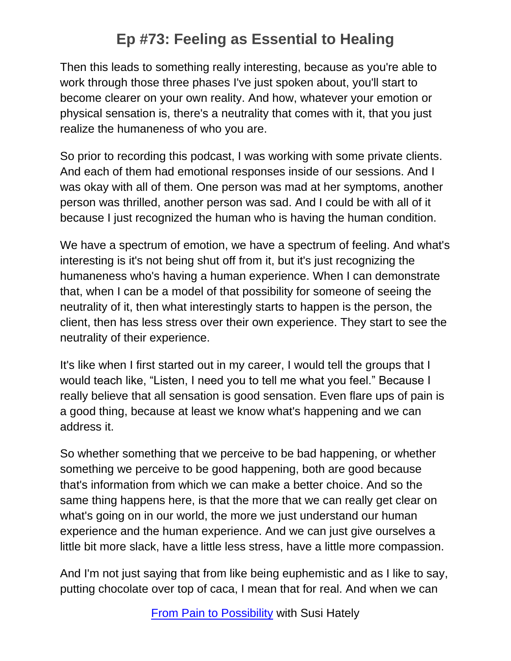Then this leads to something really interesting, because as you're able to work through those three phases I've just spoken about, you'll start to become clearer on your own reality. And how, whatever your emotion or physical sensation is, there's a neutrality that comes with it, that you just realize the humaneness of who you are.

So prior to recording this podcast, I was working with some private clients. And each of them had emotional responses inside of our sessions. And I was okay with all of them. One person was mad at her symptoms, another person was thrilled, another person was sad. And I could be with all of it because I just recognized the human who is having the human condition.

We have a spectrum of emotion, we have a spectrum of feeling. And what's interesting is it's not being shut off from it, but it's just recognizing the humaneness who's having a human experience. When I can demonstrate that, when I can be a model of that possibility for someone of seeing the neutrality of it, then what interestingly starts to happen is the person, the client, then has less stress over their own experience. They start to see the neutrality of their experience.

It's like when I first started out in my career, I would tell the groups that I would teach like, "Listen, I need you to tell me what you feel." Because I really believe that all sensation is good sensation. Even flare ups of pain is a good thing, because at least we know what's happening and we can address it.

So whether something that we perceive to be bad happening, or whether something we perceive to be good happening, both are good because that's information from which we can make a better choice. And so the same thing happens here, is that the more that we can really get clear on what's going on in our world, the more we just understand our human experience and the human experience. And we can just give ourselves a little bit more slack, have a little less stress, have a little more compassion.

And I'm not just saying that from like being euphemistic and as I like to say, putting chocolate over top of caca, I mean that for real. And when we can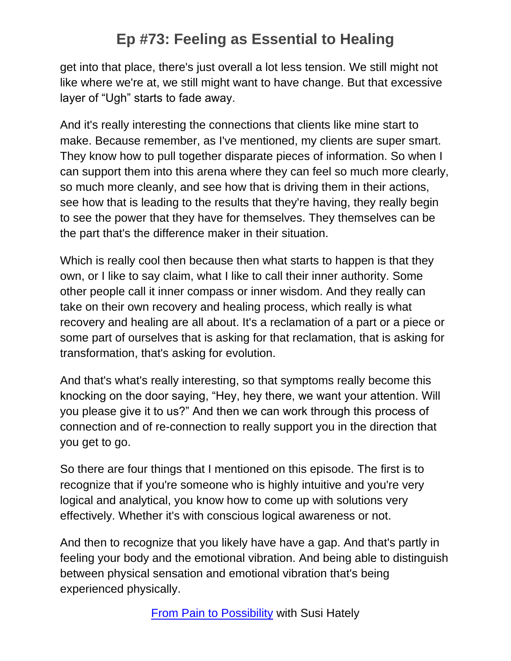get into that place, there's just overall a lot less tension. We still might not like where we're at, we still might want to have change. But that excessive layer of "Ugh" starts to fade away.

And it's really interesting the connections that clients like mine start to make. Because remember, as I've mentioned, my clients are super smart. They know how to pull together disparate pieces of information. So when I can support them into this arena where they can feel so much more clearly, so much more cleanly, and see how that is driving them in their actions, see how that is leading to the results that they're having, they really begin to see the power that they have for themselves. They themselves can be the part that's the difference maker in their situation.

Which is really cool then because then what starts to happen is that they own, or I like to say claim, what I like to call their inner authority. Some other people call it inner compass or inner wisdom. And they really can take on their own recovery and healing process, which really is what recovery and healing are all about. It's a reclamation of a part or a piece or some part of ourselves that is asking for that reclamation, that is asking for transformation, that's asking for evolution.

And that's what's really interesting, so that symptoms really become this knocking on the door saying, "Hey, hey there, we want your attention. Will you please give it to us?" And then we can work through this process of connection and of re-connection to really support you in the direction that you get to go.

So there are four things that I mentioned on this episode. The first is to recognize that if you're someone who is highly intuitive and you're very logical and analytical, you know how to come up with solutions very effectively. Whether it's with conscious logical awareness or not.

And then to recognize that you likely have have a gap. And that's partly in feeling your body and the emotional vibration. And being able to distinguish between physical sensation and emotional vibration that's being experienced physically.